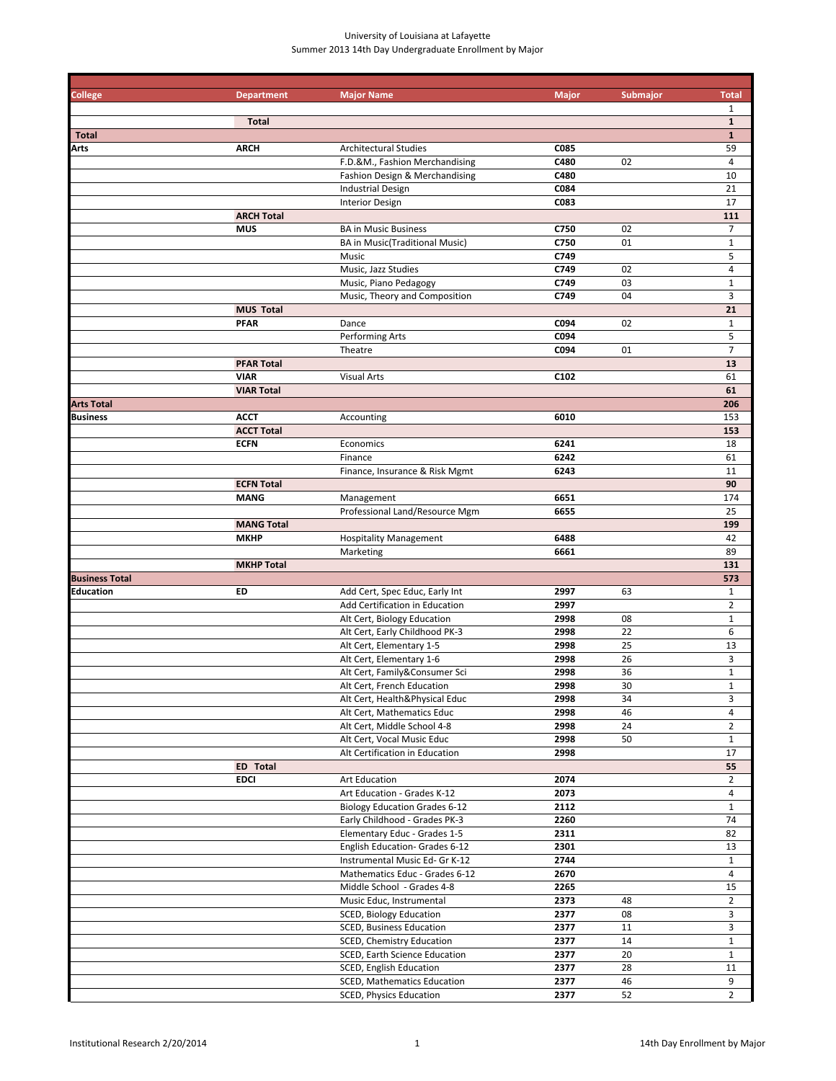### University of Louisiana at Lafayette Summer 2013 14th Day Undergraduate Enrollment by Major

| <b>College</b>        | <b>Department</b> | <b>Major Name</b>                     | <b>Major</b>     | Submajor | <b>Total</b>            |
|-----------------------|-------------------|---------------------------------------|------------------|----------|-------------------------|
|                       |                   |                                       |                  |          | $\mathbf{1}$            |
|                       | <b>Total</b>      |                                       |                  |          | $\mathbf{1}$            |
| <b>Total</b>          |                   |                                       |                  |          | $\mathbf{1}$            |
| <b>Arts</b>           | <b>ARCH</b>       | <b>Architectural Studies</b>          | C085             |          | 59                      |
|                       |                   | F.D.&M., Fashion Merchandising        | C480             | 02       | 4                       |
|                       |                   | Fashion Design & Merchandising        | C480             |          | 10                      |
|                       |                   |                                       |                  |          |                         |
|                       |                   | <b>Industrial Design</b>              | C084             |          | 21                      |
|                       |                   | <b>Interior Design</b>                | C083             |          | 17                      |
|                       | <b>ARCH Total</b> |                                       |                  |          | 111                     |
|                       | <b>MUS</b>        | <b>BA in Music Business</b>           | C750             | 02       | $\overline{7}$          |
|                       |                   | <b>BA in Music(Traditional Music)</b> | C750             | 01       | $\mathbf{1}$            |
|                       |                   | Music                                 | C749             |          | 5                       |
|                       |                   | Music, Jazz Studies                   | C749             | 02       | $\overline{4}$          |
|                       |                   | Music, Piano Pedagogy                 | C749             | 03       | $\mathbf 1$             |
|                       |                   | Music, Theory and Composition         | C749             | 04       | 3                       |
|                       | <b>MUS Total</b>  |                                       |                  |          | 21                      |
|                       | <b>PFAR</b>       | Dance                                 | C094             | 02       | $\mathbf{1}$            |
|                       |                   | Performing Arts                       | C094             |          | 5                       |
|                       |                   |                                       |                  |          |                         |
|                       |                   | Theatre                               | C094             | 01       | $\overline{7}$          |
|                       | <b>PFAR Total</b> |                                       |                  |          | 13                      |
|                       | <b>VIAR</b>       | <b>Visual Arts</b>                    | C <sub>102</sub> |          | 61                      |
|                       | <b>VIAR Total</b> |                                       |                  |          | 61                      |
| <b>Arts Total</b>     |                   |                                       |                  |          | 206                     |
| <b>Business</b>       | <b>ACCT</b>       | Accounting                            | 6010             |          | 153                     |
|                       | <b>ACCT Total</b> |                                       |                  |          | 153                     |
|                       | <b>ECFN</b>       | Economics                             | 6241             |          | 18                      |
|                       |                   | Finance                               | 6242             |          | 61                      |
|                       |                   | Finance, Insurance & Risk Mgmt        | 6243             |          | 11                      |
|                       | <b>ECFN Total</b> |                                       |                  |          | 90                      |
|                       | <b>MANG</b>       | Management                            | 6651             |          | 174                     |
|                       |                   | Professional Land/Resource Mgm        | 6655             |          | 25                      |
|                       |                   |                                       |                  |          |                         |
|                       | <b>MANG Total</b> |                                       |                  |          | 199                     |
|                       | <b>MKHP</b>       | <b>Hospitality Management</b>         | 6488             |          | 42                      |
|                       |                   | Marketing                             | 6661             |          | 89                      |
|                       | <b>MKHP Total</b> |                                       |                  |          | 131                     |
| <b>Business Total</b> |                   |                                       |                  |          | 573                     |
| Education             | ED                | Add Cert, Spec Educ, Early Int        | 2997             | 63       | $\mathbf{1}$            |
|                       |                   | Add Certification in Education        | 2997             |          | $\overline{2}$          |
|                       |                   | Alt Cert, Biology Education           | 2998             | 08       | $\mathbf{1}$            |
|                       |                   | Alt Cert, Early Childhood PK-3        | 2998             | 22       | 6                       |
|                       |                   | Alt Cert, Elementary 1-5              | 2998             | 25       | 13                      |
|                       |                   | Alt Cert, Elementary 1-6              | 2998             | 26       | 3                       |
|                       |                   | Alt Cert, Family&Consumer Sci         | 2998             | 36       | $\mathbf{1}$            |
|                       |                   |                                       |                  |          |                         |
|                       |                   | Alt Cert, French Education            | 2998             | 30       | $\mathbf{1}$            |
|                       |                   | Alt Cert, Health&Physical Educ        | 2998             | 34       | 3                       |
|                       |                   | Alt Cert, Mathematics Educ            | 2998             | 46       | $\overline{4}$          |
|                       |                   | Alt Cert, Middle School 4-8           | 2998             | 24       | $\overline{2}$          |
|                       |                   | Alt Cert, Vocal Music Educ            | 2998             | 50       | $\mathbf{1}$            |
|                       |                   | Alt Certification in Education        | 2998             |          | 17                      |
|                       | ED Total          |                                       |                  |          | 55                      |
|                       | <b>EDCI</b>       | Art Education                         | 2074             |          | $\overline{2}$          |
|                       |                   | Art Education - Grades K-12           | 2073             |          | 4                       |
|                       |                   | <b>Biology Education Grades 6-12</b>  | 2112             |          | $\mathbf{1}$            |
|                       |                   | Early Childhood - Grades PK-3         | 2260             |          | 74                      |
|                       |                   | Elementary Educ - Grades 1-5          | 2311             |          | 82                      |
|                       |                   | English Education- Grades 6-12        | 2301             |          | 13                      |
|                       |                   |                                       | 2744             |          |                         |
|                       |                   | Instrumental Music Ed- Gr K-12        |                  |          | $\mathbf{1}$            |
|                       |                   | Mathematics Educ - Grades 6-12        | 2670             |          | $\overline{4}$          |
|                       |                   | Middle School - Grades 4-8            | 2265             |          | 15                      |
|                       |                   | Music Educ, Instrumental              | 2373             | 48       | $\overline{2}$          |
|                       |                   | SCED, Biology Education               | 2377             | 08       | $\overline{\mathbf{3}}$ |
|                       |                   | <b>SCED, Business Education</b>       | 2377             | 11       | 3                       |
|                       |                   | SCED, Chemistry Education             | 2377             | 14       | $\mathbf{1}$            |
|                       |                   | SCED, Earth Science Education         | 2377             | 20       | $\mathbf{1}$            |
|                       |                   | SCED, English Education               | 2377             | 28       | 11                      |
|                       |                   | <b>SCED, Mathematics Education</b>    | 2377             | 46       | 9                       |
|                       |                   | <b>SCED, Physics Education</b>        | 2377             | 52       | $\overline{2}$          |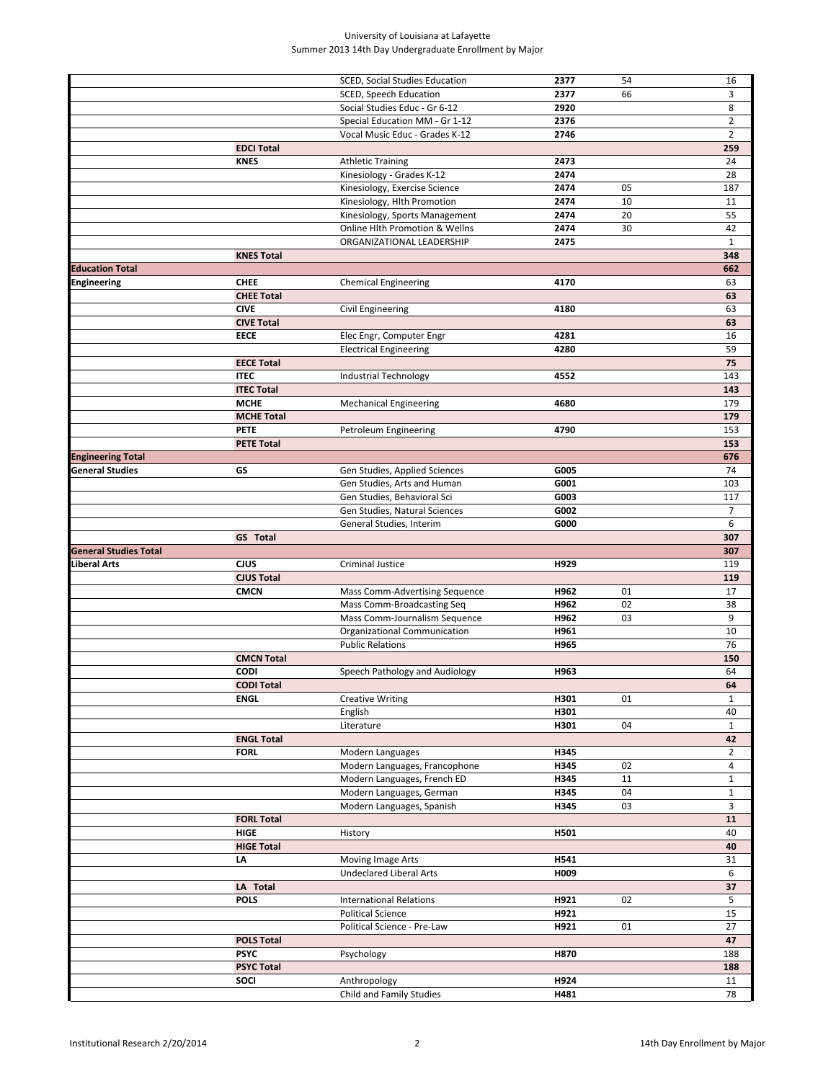### University of Louisiana at Lafayette Summer 2013 14th Day Undergraduate Enrollment by Major

|                              |                   | SCED, Social Studies Education           | 2377         | 54 | 16             |
|------------------------------|-------------------|------------------------------------------|--------------|----|----------------|
|                              |                   | SCED, Speech Education                   | 2377         | 66 | 3              |
|                              |                   |                                          |              |    |                |
|                              |                   | Social Studies Educ - Gr 6-12            | 2920         |    | 8              |
|                              |                   | Special Education MM - Gr 1-12           | 2376         |    | $\overline{2}$ |
|                              |                   | Vocal Music Educ - Grades K-12           | 2746         |    | $\overline{2}$ |
|                              |                   |                                          |              |    |                |
|                              | <b>EDCI Total</b> |                                          |              |    | 259            |
|                              | <b>KNES</b>       | <b>Athletic Training</b>                 | 2473         |    | 24             |
|                              |                   | Kinesiology - Grades K-12                | 2474         |    | 28             |
|                              |                   |                                          | 2474         | 05 | 187            |
|                              |                   | Kinesiology, Exercise Science            |              |    |                |
|                              |                   | Kinesiology, Hlth Promotion              | 2474         | 10 | 11             |
|                              |                   | Kinesiology, Sports Management           | 2474         | 20 | 55             |
|                              |                   | Online Hlth Promotion & Wellns           | 2474         | 30 | 42             |
|                              |                   |                                          |              |    |                |
|                              |                   | ORGANIZATIONAL LEADERSHIP                | 2475         |    | $\mathbf{1}$   |
|                              | <b>KNES Total</b> |                                          |              |    | 348            |
| <b>Education Total</b>       |                   |                                          |              |    | 662            |
|                              |                   |                                          |              |    |                |
| Engineering                  | <b>CHEE</b>       | <b>Chemical Engineering</b>              | 4170         |    | 63             |
|                              | <b>CHEE Total</b> |                                          |              |    | 63             |
|                              | <b>CIVE</b>       | Civil Engineering                        | 4180         |    | 63             |
|                              | <b>CIVE Total</b> |                                          |              |    | 63             |
|                              |                   |                                          |              |    |                |
|                              | EECE              | Elec Engr, Computer Engr                 | 4281         |    | 16             |
|                              |                   | <b>Electrical Engineering</b>            | 4280         |    | 59             |
|                              | <b>EECE Total</b> |                                          |              |    | 75             |
|                              |                   |                                          |              |    |                |
|                              | <b>ITEC</b>       | <b>Industrial Technology</b>             | 4552         |    | 143            |
|                              | <b>ITEC Total</b> |                                          |              |    | 143            |
|                              | <b>MCHE</b>       | <b>Mechanical Engineering</b>            | 4680         |    | 179            |
|                              | <b>MCHE Total</b> |                                          |              |    |                |
|                              |                   |                                          |              |    | 179            |
|                              | <b>PETE</b>       | Petroleum Engineering                    | 4790         |    | 153            |
|                              | <b>PETE Total</b> |                                          |              |    | 153            |
| <b>Engineering Total</b>     |                   |                                          |              |    | 676            |
|                              |                   |                                          |              |    |                |
| General Studies              | GS                | Gen Studies, Applied Sciences            | G005         |    | 74             |
|                              |                   | Gen Studies, Arts and Human              | G001         |    | 103            |
|                              |                   | Gen Studies, Behavioral Sci              | G003         |    | 117            |
|                              |                   |                                          | G002         |    | $\overline{7}$ |
|                              |                   | Gen Studies, Natural Sciences            |              |    |                |
|                              |                   | General Studies, Interim                 | G000         |    | 6              |
|                              | <b>GS</b> Total   |                                          |              |    | 307            |
| <b>General Studies Total</b> |                   |                                          |              |    | 307            |
|                              |                   | Criminal Justice                         |              |    | 119            |
|                              |                   |                                          |              |    |                |
| iberal Arts                  | <b>CJUS</b>       |                                          | H929         |    |                |
|                              | <b>CJUS Total</b> |                                          |              |    | 119            |
|                              | <b>CMCN</b>       | Mass Comm-Advertising Sequence           | H962         | 01 | 17             |
|                              |                   |                                          |              |    |                |
|                              |                   | Mass Comm-Broadcasting Seq               | H962         | 02 | 38             |
|                              |                   | Mass Comm-Journalism Sequence            | H962         | 03 | 9              |
|                              |                   | Organizational Communication             | H961         |    | 10             |
|                              |                   |                                          |              |    |                |
|                              |                   | <b>Public Relations</b>                  | H965         |    | 76             |
|                              | <b>CMCN Total</b> |                                          |              |    | 150            |
|                              | <b>CODI</b>       | Speech Pathology and Audiology           | H963         |    | 64             |
|                              | <b>CODI Total</b> |                                          |              |    | 64             |
|                              |                   |                                          |              |    |                |
|                              | <b>ENGL</b>       | <b>Creative Writing</b>                  | H301         | 01 | $\mathbf{1}$   |
|                              |                   | English                                  | H301         |    | 40             |
|                              |                   | Literature                               | H301         | 04 | $\mathbf{1}$   |
|                              | <b>ENGL Total</b> |                                          |              |    | 42             |
|                              |                   |                                          |              |    |                |
|                              | <b>FORL</b>       | Modern Languages                         | H345         |    | $\overline{2}$ |
|                              |                   | Modern Languages, Francophone            | H345         | 02 | $\overline{4}$ |
|                              |                   | Modern Languages, French ED              | H345         | 11 | $\mathbf{1}$   |
|                              |                   |                                          |              |    |                |
|                              |                   | Modern Languages, German                 | H345         | 04 | $\mathbf{1}$   |
|                              |                   | Modern Languages, Spanish                | H345         | 03 | 3              |
|                              | <b>FORL Total</b> |                                          |              |    | 11             |
|                              | <b>HIGE</b>       | History                                  | H501         |    | 40             |
|                              |                   |                                          |              |    |                |
|                              | <b>HIGE Total</b> |                                          |              |    | 40             |
|                              | LA                | Moving Image Arts                        | H541         |    | 31             |
|                              |                   | <b>Undeclared Liberal Arts</b>           | H009         |    | 6              |
|                              | LA Total          |                                          |              |    | 37             |
|                              |                   |                                          |              |    |                |
|                              | <b>POLS</b>       | <b>International Relations</b>           | H921         | 02 | 5              |
|                              |                   | <b>Political Science</b>                 | H921         |    | 15             |
|                              |                   | Political Science - Pre-Law              | H921         | 01 | 27             |
|                              |                   |                                          |              |    |                |
|                              | <b>POLS Total</b> |                                          |              |    | 47             |
|                              | <b>PSYC</b>       | Psychology                               | H870         |    | 188            |
|                              | <b>PSYC Total</b> |                                          |              |    | 188            |
|                              |                   |                                          |              |    |                |
|                              | SOCI              | Anthropology<br>Child and Family Studies | H924<br>H481 |    | 11<br>78       |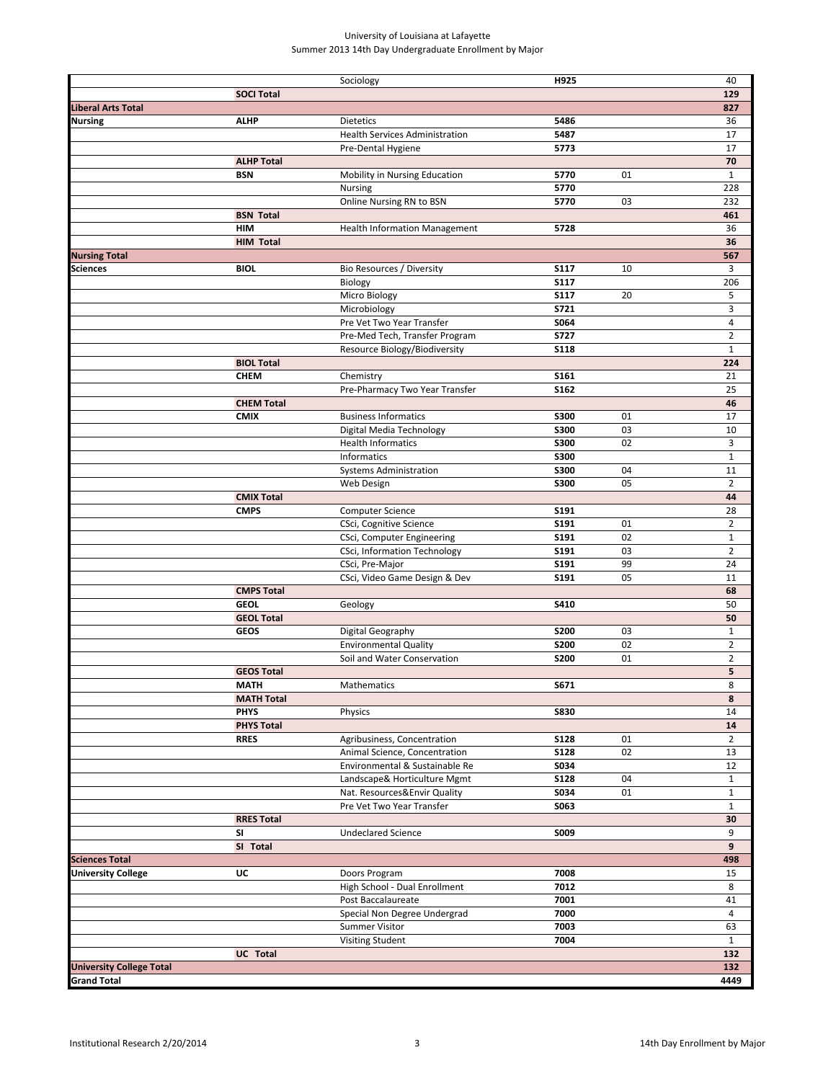#### University of Louisiana at Lafayette Summer 2013 14th Day Undergraduate Enrollment by Major

|                                  |                   | Sociology                                 | H925                       |    | 40                               |
|----------------------------------|-------------------|-------------------------------------------|----------------------------|----|----------------------------------|
|                                  | <b>SOCI Total</b> |                                           |                            |    | 129                              |
| Liberal Arts Total               |                   |                                           |                            |    | 827                              |
| Nursing                          | <b>ALHP</b>       | <b>Dietetics</b>                          | 5486                       |    | 36                               |
|                                  |                   | <b>Health Services Administration</b>     | 5487                       |    | 17                               |
|                                  |                   | Pre-Dental Hygiene                        | 5773                       |    | 17                               |
|                                  | <b>ALHP Total</b> |                                           |                            |    | 70                               |
|                                  | <b>BSN</b>        | Mobility in Nursing Education             | 5770                       | 01 | $\mathbf{1}$                     |
|                                  |                   | Nursing                                   | 5770                       |    | 228                              |
|                                  |                   | Online Nursing RN to BSN                  | 5770                       | 03 | 232                              |
|                                  | <b>BSN Total</b>  |                                           |                            |    | 461                              |
|                                  | <b>HIM</b>        | <b>Health Information Management</b>      | 5728                       |    | 36                               |
|                                  | <b>HIM Total</b>  |                                           |                            |    | 36                               |
| <b>Nursing Total</b><br>Sciences |                   |                                           |                            |    | 567                              |
|                                  | <b>BIOL</b>       | Bio Resources / Diversity                 | <b>S117</b>                | 10 | 3                                |
|                                  |                   | Biology                                   | <b>S117</b>                |    | 206                              |
|                                  |                   | Micro Biology                             | <b>S117</b><br><b>S721</b> | 20 | 5<br>3                           |
|                                  |                   | Microbiology<br>Pre Vet Two Year Transfer | S064                       |    | $\overline{4}$                   |
|                                  |                   | Pre-Med Tech, Transfer Program            | <b>S727</b>                |    | $\overline{2}$                   |
|                                  |                   | Resource Biology/Biodiversity             | <b>S118</b>                |    | $\mathbf{1}$                     |
|                                  | <b>BIOL Total</b> |                                           |                            |    | 224                              |
|                                  | <b>CHEM</b>       | Chemistry                                 | S <sub>161</sub>           |    | 21                               |
|                                  |                   | Pre-Pharmacy Two Year Transfer            | S162                       |    | 25                               |
|                                  | <b>CHEM Total</b> |                                           |                            |    | 46                               |
|                                  | <b>CMIX</b>       | <b>Business Informatics</b>               | <b>S300</b>                | 01 | 17                               |
|                                  |                   | Digital Media Technology                  | <b>S300</b>                | 03 | 10                               |
|                                  |                   | <b>Health Informatics</b>                 | <b>S300</b>                | 02 | 3                                |
|                                  |                   | Informatics                               | <b>S300</b>                |    | $\mathbf{1}$                     |
|                                  |                   | <b>Systems Administration</b>             | <b>S300</b>                | 04 | 11                               |
|                                  |                   | Web Design                                | <b>S300</b>                | 05 | $\overline{2}$                   |
|                                  | <b>CMIX Total</b> |                                           |                            |    | 44                               |
|                                  | <b>CMPS</b>       | <b>Computer Science</b>                   | <b>S191</b>                |    | 28                               |
|                                  |                   | CSci, Cognitive Science                   | S191                       | 01 | $\overline{2}$                   |
|                                  |                   | CSci, Computer Engineering                | S191                       | 02 | $\mathbf 1$                      |
|                                  |                   | CSci, Information Technology              | S191                       | 03 | $\overline{2}$                   |
|                                  |                   | CSci, Pre-Major                           | S191                       | 99 | 24                               |
|                                  |                   | CSci, Video Game Design & Dev             | S191                       | 05 | 11                               |
|                                  | <b>CMPS Total</b> |                                           |                            |    | 68                               |
|                                  | <b>GEOL</b>       | Geology                                   | S410                       |    | 50                               |
|                                  | <b>GEOL Total</b> |                                           |                            |    | 50                               |
|                                  | <b>GEOS</b>       | Digital Geography                         | <b>S200</b>                | 03 | $\mathbf{1}$                     |
|                                  |                   | <b>Environmental Quality</b>              | <b>S200</b>                | 02 | $\overline{2}$<br>$\overline{2}$ |
|                                  | <b>GEOS Total</b> | Soil and Water Conservation               | <b>S200</b>                | 01 | 5                                |
|                                  | <b>MATH</b>       | Mathematics                               | S671                       |    | 8                                |
|                                  | <b>MATH Total</b> |                                           |                            |    | 8                                |
|                                  | <b>PHYS</b>       | Physics                                   | <b>S830</b>                |    | 14                               |
|                                  | <b>PHYS Total</b> |                                           |                            |    | 14                               |
|                                  | <b>RRES</b>       | Agribusiness, Concentration               | <b>S128</b>                | 01 | $\overline{2}$                   |
|                                  |                   | Animal Science, Concentration             | <b>S128</b>                | 02 | 13                               |
|                                  |                   | Environmental & Sustainable Re            | S034                       |    | 12                               |
|                                  |                   | Landscape& Horticulture Mgmt              | <b>S128</b>                | 04 | $\mathbf{1}$                     |
|                                  |                   | Nat. Resources&Envir Quality              | S034                       | 01 | $\mathbf{1}$                     |
|                                  |                   | Pre Vet Two Year Transfer                 | S063                       |    | $\mathbf{1}$                     |
|                                  | <b>RRES Total</b> |                                           |                            |    | 30                               |
|                                  | SI                | <b>Undeclared Science</b>                 | S009                       |    | 9                                |
|                                  | SI Total          |                                           |                            |    | 9                                |
| <b>Sciences Total</b>            |                   |                                           |                            |    | 498                              |
| <b>University College</b>        | UC                | Doors Program                             | 7008                       |    | 15                               |
|                                  |                   | High School - Dual Enrollment             | 7012                       |    | 8                                |
|                                  |                   | Post Baccalaureate                        | 7001                       |    | 41                               |
|                                  |                   | Special Non Degree Undergrad              | 7000                       |    | 4                                |
|                                  |                   | Summer Visitor                            | 7003                       |    | 63                               |
|                                  |                   | <b>Visiting Student</b>                   | 7004                       |    | $\mathbf{1}$                     |
|                                  | <b>UC</b> Total   |                                           |                            |    | 132                              |
| <b>University College Total</b>  |                   |                                           |                            |    | 132                              |
| Grand Total                      |                   |                                           |                            |    | 4449                             |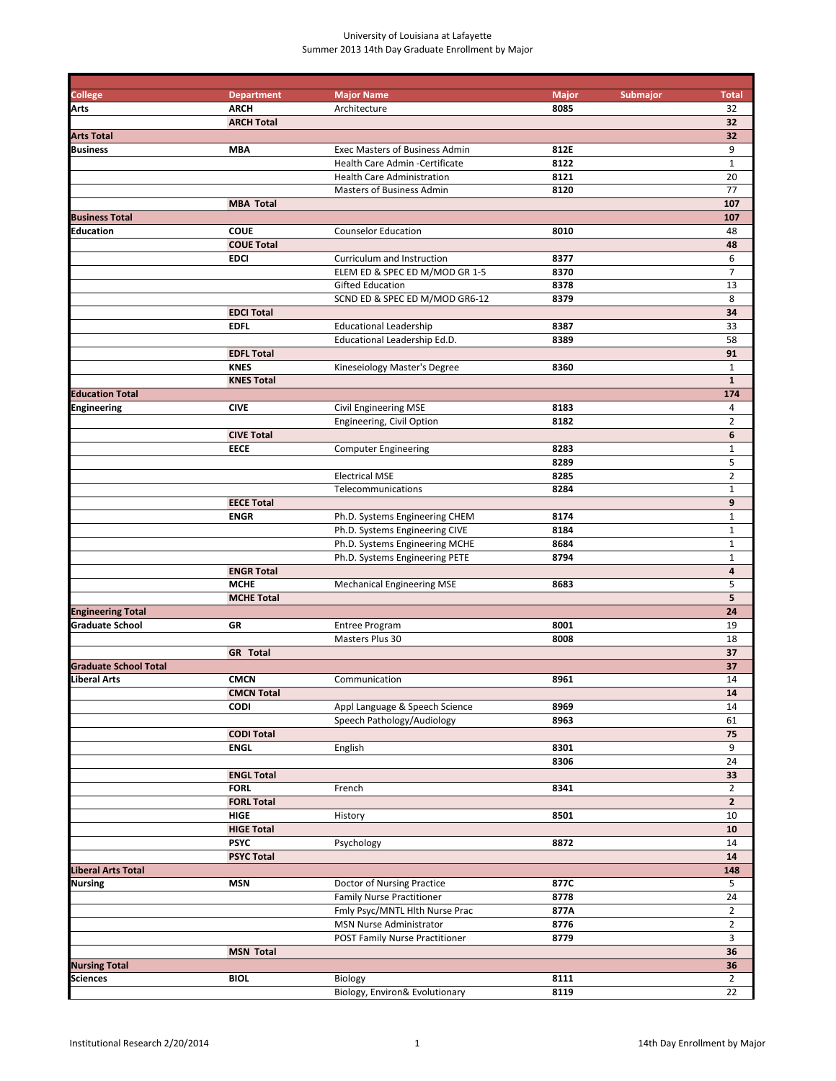# University of Louisiana at Lafayette Summer 2013 14th Day Graduate Enrollment by Major

| <b>College</b>               | <b>Department</b> | <b>Major Name</b>                     | <b>Major</b> | Submajor | <b>Total</b>            |
|------------------------------|-------------------|---------------------------------------|--------------|----------|-------------------------|
| Arts                         | <b>ARCH</b>       | Architecture                          | 8085         |          | 32                      |
|                              | <b>ARCH Total</b> |                                       |              |          | 32                      |
| <b>Arts Total</b>            |                   |                                       |              |          | 32                      |
| Business                     | <b>MBA</b>        | <b>Exec Masters of Business Admin</b> | 812E         |          | 9                       |
|                              |                   | <b>Health Care Admin -Certificate</b> | 8122         |          | $\mathbf{1}$            |
|                              |                   | <b>Health Care Administration</b>     | 8121         |          | 20                      |
|                              |                   | Masters of Business Admin             | 8120         |          | 77                      |
|                              | <b>MBA Total</b>  |                                       |              |          | 107                     |
| <b>Business Total</b>        |                   |                                       |              |          | 107                     |
| Education                    | <b>COUE</b>       | <b>Counselor Education</b>            | 8010         |          | 48                      |
|                              | <b>COUE Total</b> |                                       |              |          | 48                      |
|                              | <b>EDCI</b>       | Curriculum and Instruction            | 8377         |          | 6                       |
|                              |                   | ELEM ED & SPEC ED M/MOD GR 1-5        | 8370         |          | $\overline{7}$          |
|                              |                   | <b>Gifted Education</b>               | 8378         |          | 13                      |
|                              |                   | SCND ED & SPEC ED M/MOD GR6-12        | 8379         |          | 8                       |
|                              | <b>EDCI Total</b> |                                       |              |          | 34                      |
|                              | <b>EDFL</b>       | <b>Educational Leadership</b>         | 8387         |          | 33                      |
|                              |                   | Educational Leadership Ed.D.          | 8389         |          | 58                      |
|                              | <b>EDFL Total</b> |                                       |              |          | 91                      |
|                              | <b>KNES</b>       | Kineseiology Master's Degree          | 8360         |          | 1                       |
|                              | <b>KNES Total</b> |                                       |              |          | $\mathbf{1}$            |
| <b>Education Total</b>       |                   |                                       |              |          | 174                     |
| Engineering                  | <b>CIVE</b>       | <b>Civil Engineering MSE</b>          | 8183         |          | 4                       |
|                              |                   | Engineering, Civil Option             | 8182         |          | $\overline{2}$          |
|                              | <b>CIVE Total</b> |                                       |              |          | 6                       |
|                              | <b>EECE</b>       | <b>Computer Engineering</b>           | 8283         |          | $\mathbf{1}$            |
|                              |                   |                                       | 8289         |          | 5                       |
|                              |                   | <b>Electrical MSE</b>                 | 8285         |          | $\overline{2}$          |
|                              |                   | Telecommunications                    | 8284         |          | $\mathbf{1}$            |
|                              | <b>EECE Total</b> |                                       |              |          | 9                       |
|                              | <b>ENGR</b>       | Ph.D. Systems Engineering CHEM        | 8174         |          | $\mathbf 1$             |
|                              |                   | Ph.D. Systems Engineering CIVE        | 8184         |          | $\mathbf{1}$            |
|                              |                   | Ph.D. Systems Engineering MCHE        | 8684         |          | $\mathbf 1$             |
|                              |                   | Ph.D. Systems Engineering PETE        | 8794         |          | $\mathbf 1$             |
|                              | <b>ENGR Total</b> |                                       |              |          | $\overline{\mathbf{a}}$ |
|                              | <b>MCHE</b>       | <b>Mechanical Engineering MSE</b>     | 8683         |          | 5                       |
|                              | <b>MCHE Total</b> |                                       |              |          | 5                       |
| <b>Engineering Total</b>     |                   |                                       |              |          | 24                      |
| <b>Graduate School</b>       | GR                | <b>Entree Program</b>                 | 8001         |          | 19                      |
|                              |                   | Masters Plus 30                       | 8008         |          | 18                      |
|                              | <b>GR</b> Total   |                                       |              |          | 37                      |
| <b>Graduate School Total</b> |                   |                                       |              |          | 37                      |
| Liberal Arts                 | <b>CMCN</b>       | Communication                         | 8961         |          | 14                      |
|                              | <b>CMCN Total</b> |                                       |              |          | ${\bf 14}$              |
|                              | <b>CODI</b>       | Appl Language & Speech Science        | 8969         |          | 14                      |
|                              |                   | Speech Pathology/Audiology            | 8963         |          | 61                      |
|                              | <b>CODI Total</b> |                                       |              |          | 75                      |
|                              | <b>ENGL</b>       | English                               | 8301         |          | 9                       |
|                              |                   |                                       | 8306         |          | 24                      |
|                              | <b>ENGL Total</b> |                                       |              |          | 33                      |
|                              | <b>FORL</b>       | French                                | 8341         |          | $\overline{2}$          |
|                              | <b>FORL Total</b> |                                       |              |          | $\mathbf{2}$            |
|                              | <b>HIGE</b>       | History                               | 8501         |          | 10                      |
|                              | <b>HIGE Total</b> |                                       |              |          | 10                      |
|                              | <b>PSYC</b>       | Psychology                            | 8872         |          | 14                      |
|                              | <b>PSYC Total</b> |                                       |              |          | 14                      |
| Liberal Arts Total           |                   |                                       |              |          | 148                     |
| Nursing                      | <b>MSN</b>        | Doctor of Nursing Practice            | 877C         |          | 5                       |
|                              |                   | <b>Family Nurse Practitioner</b>      | 8778         |          | 24                      |
|                              |                   | Fmly Psyc/MNTL Hlth Nurse Prac        | 877A         |          | $\overline{2}$          |
|                              |                   | MSN Nurse Administrator               | 8776         |          | $\overline{2}$          |
|                              |                   | POST Family Nurse Practitioner        | 8779         |          | 3                       |
|                              | <b>MSN Total</b>  |                                       |              |          | 36                      |
| <b>Nursing Total</b>         |                   |                                       |              |          | 36                      |
| Sciences                     | <b>BIOL</b>       | Biology                               | 8111         |          | $\overline{2}$          |
|                              |                   | Biology, Environ& Evolutionary        | 8119         |          | 22                      |
|                              |                   |                                       |              |          |                         |